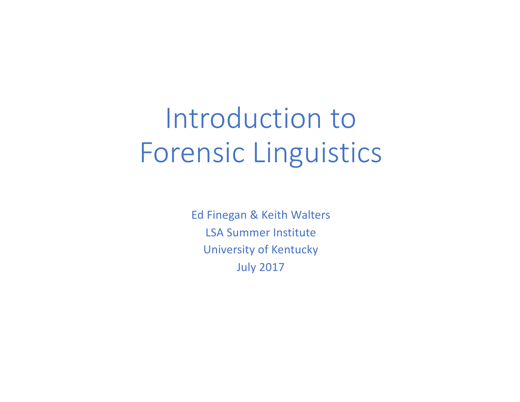# Introduction to Forensic Linguistics

Ed Finegan & Keith Walters LSA Summer Institute University of Kentucky July 2017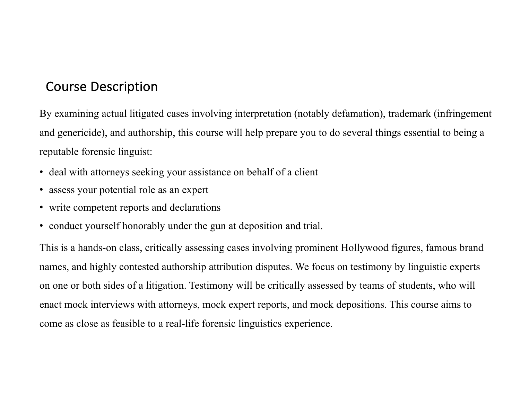#### Course Description

By examining actual litigated cases involving interpretation (notably defamation), trademark (infringement and genericide), and authorship, this course will help prepare you to do several things essential to being a reputable forensic linguist:

- deal with attorneys seeking your assistance on behalf of a client
- assess your potential role as an expert
- write competent reports and declarations
- conduct yourself honorably under the gun at deposition and trial.

This is a hands-on class, critically assessing cases involving prominent Hollywood figures, famous brand names, and highly contested authorship attribution disputes. We focus on testimony by linguistic experts on one or both sides of a litigation. Testimony will be critically assessed by teams of students, who will enact mock interviews with attorneys, mock expert reports, and mock depositions. This course aims to come as close as feasible to a real-life forensic linguistics experience.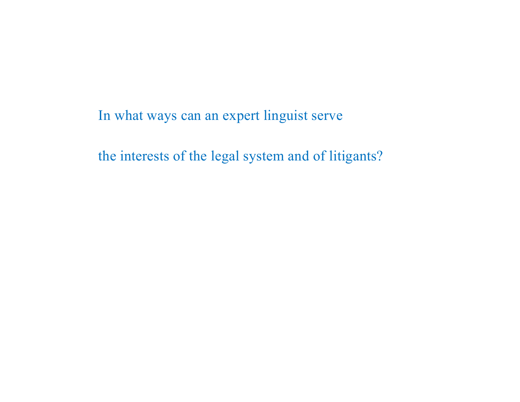In what ways can an expert linguist serve

the interests of the legal system and of litigants?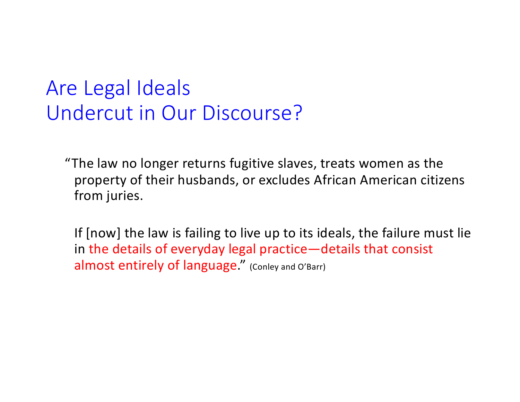# Are Legal Ideals Undercut in Our Discourse?

"The law no longer returns fugitive slaves, treats women as the property of their husbands, or excludes African American citizens from juries.

If [now] the law is failing to live up to its ideals, the failure must lie in the details of everyday legal practice—details that consist almost entirely of language." (Conley and O'Barr)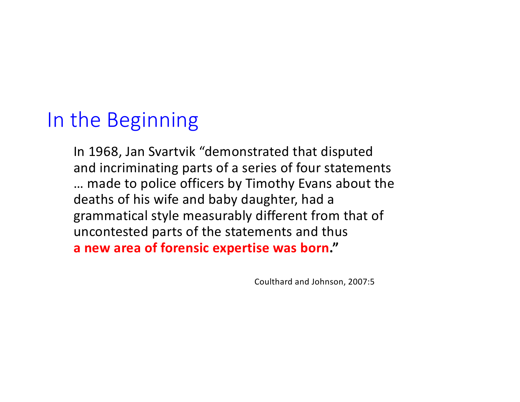# In the Beginning

In 1968, Jan Svartvik "demonstrated that disputed and incriminating parts of a series of four statements ... made to police officers by Timothy Evans about the deaths of his wife and baby daughter, had a grammatical style measurably different from that of uncontested parts of the statements and thus **a** new area of forensic expertise was born."

Coulthard and Johnson, 2007:5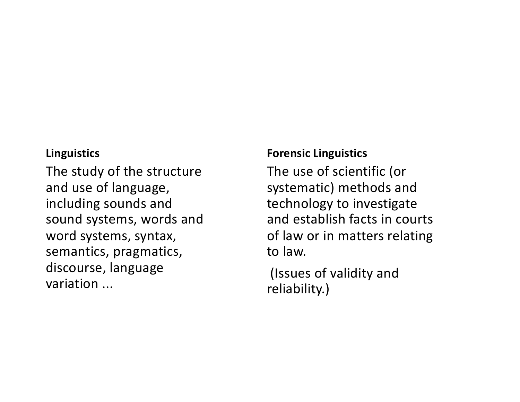#### **Linguistics**

The study of the structure and use of language, including sounds and sound systems, words and word systems, syntax, semantics, pragmatics, discourse, language variation ...

#### **Forensic Linguistics**

The use of scientific (or systematic) methods and technology to investigate and establish facts in courts of law or in matters relating to law.

(Issues of validity and reliability.)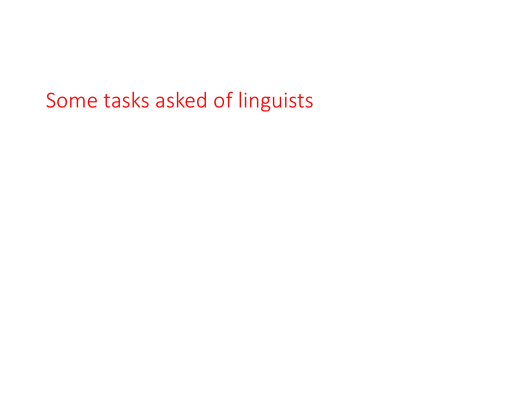# Some tasks asked of linguists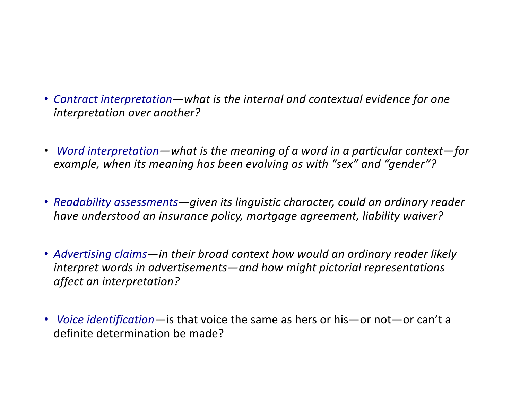- Contract interpretation—what is the internal and contextual evidence for one *interpretation over another?*
- Word interpretation—what is the meaning of a word in a particular context-for *example, when its meaning has been evolving as with "sex" and "gender"?*
- *Readability assessments—given its linguistic character, could an ordinary reader have understood an insurance policy, mortgage agreement, liability waiver?*
- Advertising claims—in their broad context how would an ordinary reader likely *interpret* words in advertisements—and how might pictorial representations *affect an interpretation?*
- *Voice identification*—is that voice the same as hers or his—or not—or can't a definite determination be made?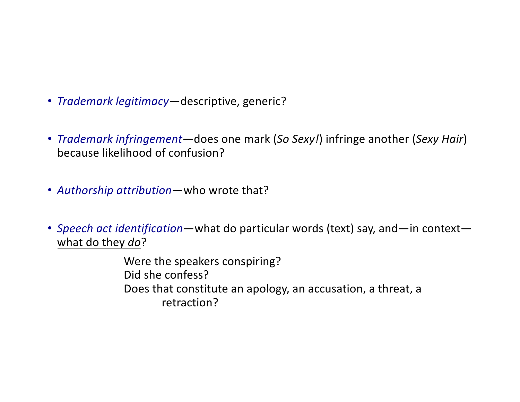- *Trademark legitimacy*—descriptive, generic?
- *Trademark infringement*—does one mark (So Sexy!) infringe another (Sexy Hair) because likelihood of confusion?
- *Authorship attribution*—who wrote that?
- Speech act identification—what do particular words (text) say, and—in context what do they do?

Were the speakers conspiring? Did she confess? Does that constitute an apology, an accusation, a threat, a retraction?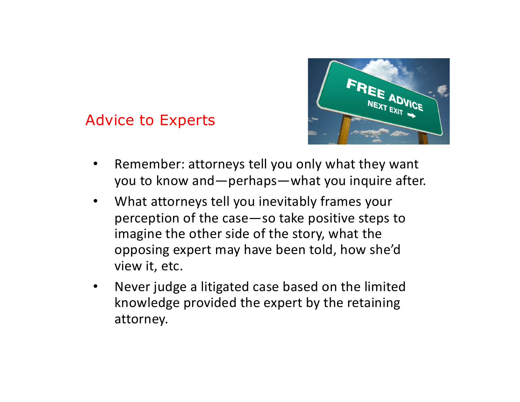#### Advice to Experts



- Remember: attorneys tell you only what they want you to know and—perhaps—what you inquire after.
- What attorneys tell you inevitably frames your perception of the case—so take positive steps to imagine the other side of the story, what the opposing expert may have been told, how she'd view it, etc.
- Never judge a litigated case based on the limited knowledge provided the expert by the retaining attorney.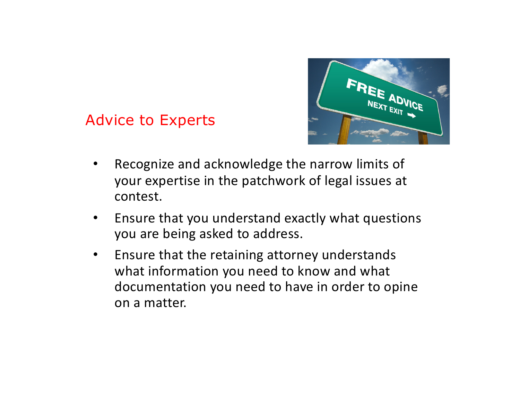

Advice to Experts

- Recognize and acknowledge the narrow limits of your expertise in the patchwork of legal issues at contest.
- Ensure that you understand exactly what questions you are being asked to address.
- Ensure that the retaining attorney understands what information you need to know and what documentation you need to have in order to opine on a matter.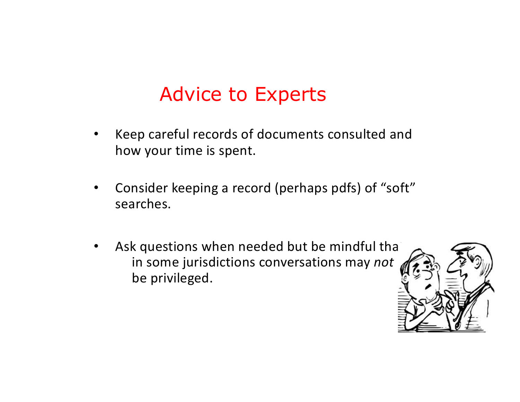# Advice to Experts

- Keep careful records of documents consulted and how your time is spent.
- Consider keeping a record (perhaps pdfs) of "soft" searches.
- Ask questions when needed but be mindful that in some jurisdictions conversations may *not* be privileged.

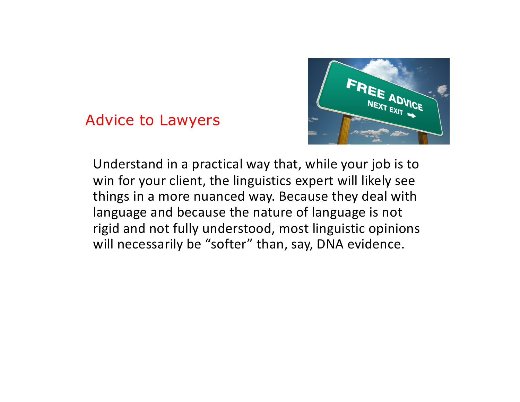#### Advice to Lawyers



Understand in a practical way that, while your job is to win for your client, the linguistics expert will likely see things in a more nuanced way. Because they deal with language and because the nature of language is not rigid and not fully understood, most linguistic opinions will necessarily be "softer" than, say, DNA evidence.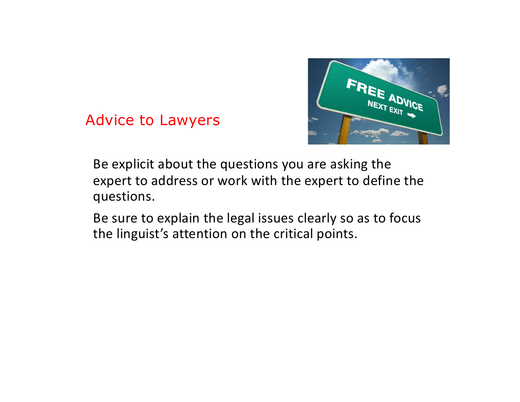

Advice to Lawyers

- Be explicit about the questions you are asking the expert to address or work with the expert to define the questions.
- Be sure to explain the legal issues clearly so as to focus the linguist's attention on the critical points.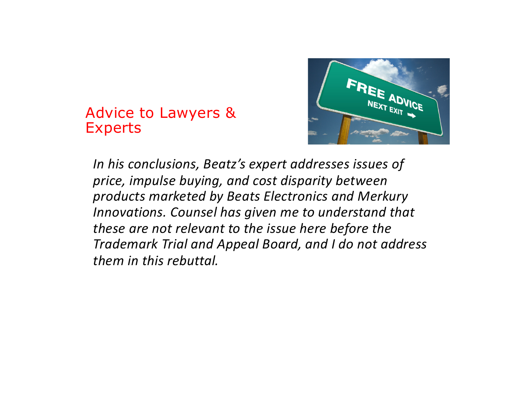#### Advice to Lawyers & Experts



In his conclusions, Beatz's expert addresses issues of price, *impulse buying, and cost disparity between products marketed by Beats Electronics and Merkury Innovations.* Counsel has given me to understand that *these are not relevant to the issue here before the Trademark Trial and Appeal Board, and I do not address them in this rebuttal.*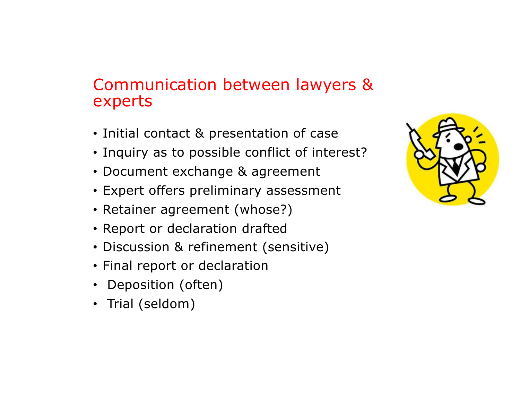#### Communication between lawyers & experts

- Initial contact & presentation of case
- Inquiry as to possible conflict of interest?
- Document exchange & agreement
- Expert offers preliminary assessment
- Retainer agreement (whose?)
- Report or declaration drafted
- Discussion & refinement (sensitive)
- Final report or declaration
- Deposition (often)
- Trial (seldom)

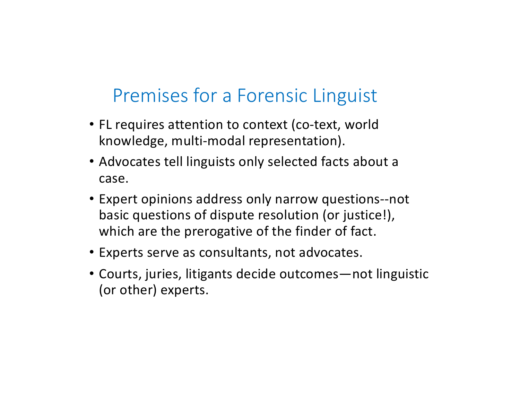### Premises for a Forensic Linguist

- FL requires attention to context (co-text, world knowledge, multi-modal representation).
- Advocates tell linguists only selected facts about a case.
- Expert opinions address only narrow questions--not basic questions of dispute resolution (or justice!), which are the prerogative of the finder of fact.
- Experts serve as consultants, not advocates.
- Courts, juries, litigants decide outcomes—not linguistic (or other) experts.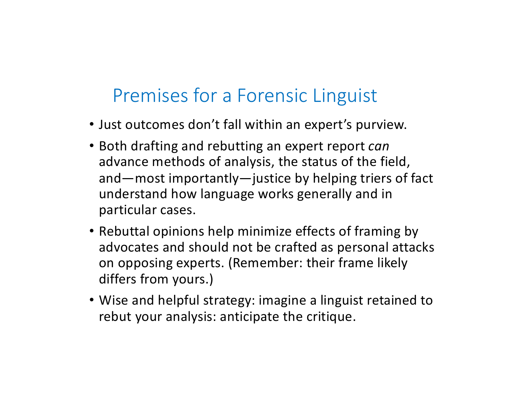## Premises for a Forensic Linguist

- Just outcomes don't fall within an expert's purview.
- Both drafting and rebutting an expert report *can* advance methods of analysis, the status of the field, and—most importantly—justice by helping triers of fact understand how language works generally and in particular cases.
- Rebuttal opinions help minimize effects of framing by advocates and should not be crafted as personal attacks on opposing experts. (Remember: their frame likely differs from yours.)
- Wise and helpful strategy: imagine a linguist retained to rebut your analysis: anticipate the critique.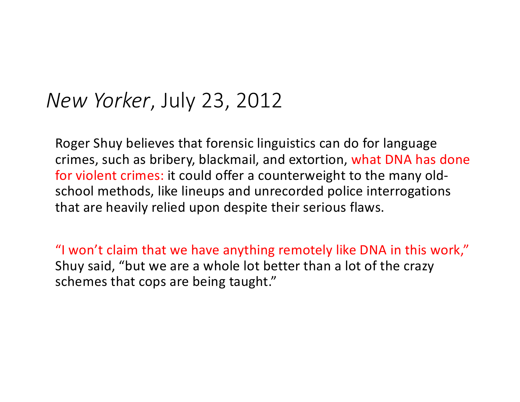## *New Yorker*, July 23, 2012

Roger Shuy believes that forensic linguistics can do for language crimes, such as bribery, blackmail, and extortion, what DNA has done for violent crimes: it could offer a counterweight to the many oldschool methods, like lineups and unrecorded police interrogations that are heavily relied upon despite their serious flaws.

"I won't claim that we have anything remotely like DNA in this work," Shuy said, "but we are a whole lot better than a lot of the crazy schemes that cops are being taught."